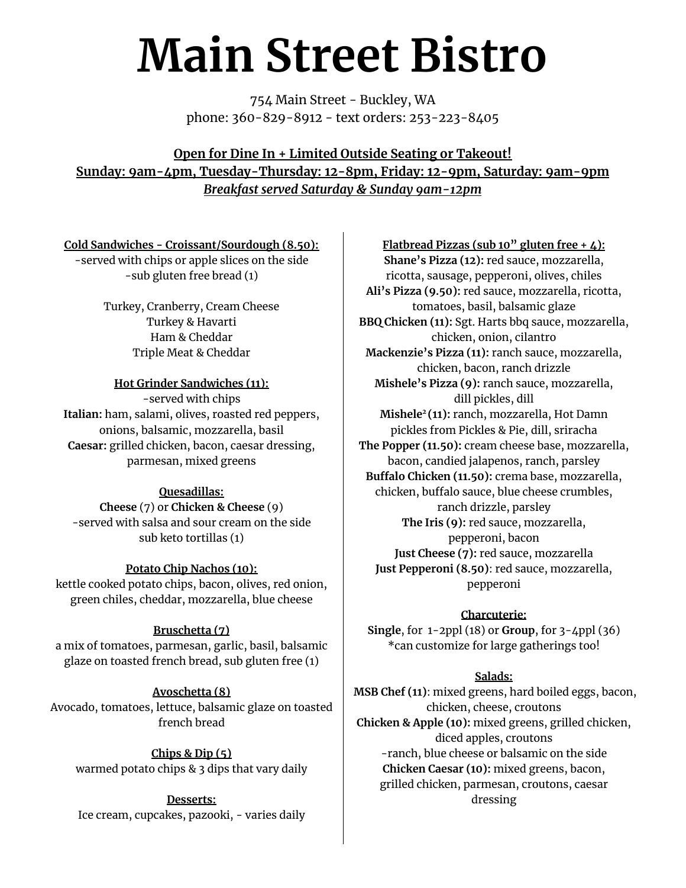# **Main Street Bistro**

754 Main Street - Buckley, WA phone: 360-829-8912 - text orders: 253-223-8405

## **Open for Dine In + Limited Outside Seating or Takeout! Sunday: 9am-4pm, Tuesday-Thursday: 12-8pm, Friday: 12-9pm, Saturday: 9am-9pm** *Breakfast served Saturday & Sunday 9am-12pm*

#### **Cold Sandwiches - Croissant/Sourdough (8.50):**

-served with chips or apple slices on the side -sub gluten free bread (1)

> Turkey, Cranberry, Cream Cheese Turkey & Havarti Ham & Cheddar Triple Meat & Cheddar

## **Hot Grinder Sandwiches (11):**

-served with chips **Italian:** ham, salami, olives, roasted red peppers, onions, balsamic, mozzarella, basil **Caesar:** grilled chicken, bacon, caesar dressing, parmesan, mixed greens

## **Quesadillas:**

**Cheese** (7) or **Chicken & Cheese** (9) -served with salsa and sour cream on the side sub keto tortillas (1)

## **Potato Chip Nachos (10):**

kettle cooked potato chips, bacon, olives, red onion, green chiles, cheddar, mozzarella, blue cheese

## **Bruschetta (7)**

a mix of tomatoes, parmesan, garlic, basil, balsamic glaze on toasted french bread, sub gluten free (1)

#### **Avoschetta (8)**

Avocado, tomatoes, lettuce, balsamic glaze on toasted french bread

**Chips & Dip (5)** warmed potato chips & 3 dips that vary daily

**Desserts:** Ice cream, cupcakes, pazooki, - varies daily

**Flatbread Pizzas (sub 10" gluten free + 4): Shane's Pizza (12):** red sauce, mozzarella, ricotta, sausage, pepperoni, olives, chiles **Ali's Pizza (9.50):** red sauce, mozzarella, ricotta, tomatoes, basil, balsamic glaze **BBQ Chicken (11):** Sgt. Harts bbq sauce, mozzarella, chicken, onion, cilantro **Mackenzie's Pizza (11):** ranch sauce, mozzarella, chicken, bacon, ranch drizzle **Mishele's Pizza (9):** ranch sauce, mozzarella, dill pickles, dill **Mishele <sup>2</sup> (11):** ranch, mozzarella, Hot Damn pickles from Pickles & Pie, dill, sriracha **The Popper (11.50):** cream cheese base, mozzarella, bacon, candied jalapenos, ranch, parsley **Buffalo Chicken (11.50):** crema base, mozzarella, chicken, buffalo sauce, blue cheese crumbles, ranch drizzle, parsley **The Iris (9):** red sauce, mozzarella, pepperoni, bacon **Just Cheese (7):** red sauce, mozzarella **Just Pepperoni (8.50)**: red sauce, mozzarella, pepperoni

#### **Charcuterie:**

**Single**, for 1-2ppl (18) or **Group**, for 3-4ppl (36) \*can customize for large gatherings too!

#### **Salads:**

**MSB Chef (11)**: mixed greens, hard boiled eggs, bacon, chicken, cheese, croutons **Chicken & Apple (10):** mixed greens, grilled chicken, diced apples, croutons -ranch, blue cheese or balsamic on the side **Chicken Caesar (10):** mixed greens, bacon, grilled chicken, parmesan, croutons, caesar dressing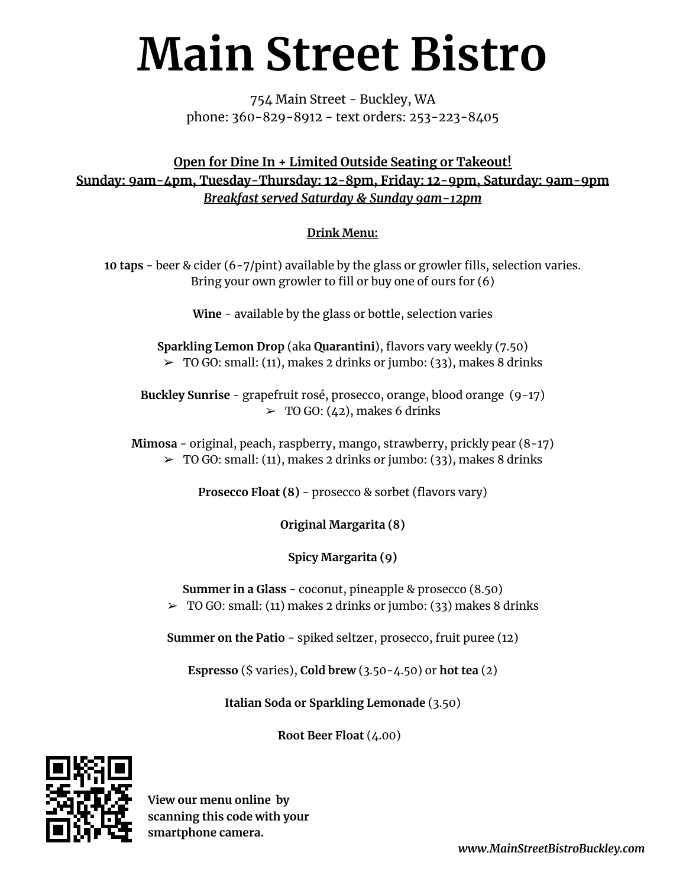# **Main Street Bistro**

754 Main Street - Buckley, WA phone: 360-829-8912 - text orders: 253-223-8405

**Open for Dine In + Limited Outside Seating or Takeout! Sunday: 9am-4pm, Tuesday-Thursday: 12-8pm, Friday: 12-9pm, Saturday: 9am-9pm** *Breakfast served Saturday & Sunday 9am-12pm*

## **Drink Menu:**

**10 taps** - beer & cider (6-7/pint) available by the glass or growler fills, selection varies. Bring your own growler to fill or buy one of ours for (6)

**Wine** - available by the glass or bottle, selection varies

**Sparkling Lemon Drop** (aka **Quarantini**), flavors vary weekly (7.50)  $\geq$  TO GO: small: (11), makes 2 drinks or jumbo: (33), makes 8 drinks

**Buckley Sunrise** - grapefruit rosé, prosecco, orange, blood orange (9-17)  $\geq$  TO GO: (42), makes 6 drinks

**Mimosa** - original, peach, raspberry, mango, strawberry, prickly pear (8-17)  $\geq$  TO GO: small: (11), makes 2 drinks or jumbo: (33), makes 8 drinks

**Prosecco Float (8)** - prosecco & sorbet (flavors vary)

**Original Margarita (8)**

**Spicy Margarita (9)**

**Summer in a Glass -** coconut, pineapple & prosecco (8.50)  $\geq$  TO GO: small: (11) makes 2 drinks or jumbo: (33) makes 8 drinks

**Summer on the Patio** - spiked seltzer, prosecco, fruit puree (12)

**Espresso** (\$ varies), **Cold brew** (3.50-4.50) or **hot tea** (2)

**Italian Soda or Sparkling Lemonade** (3.50)

**Root Beer Float** (4.00)



**View our menu online by scanning this code with your smartphone camera.**

*www.MainStreetBistroBuckley.com*